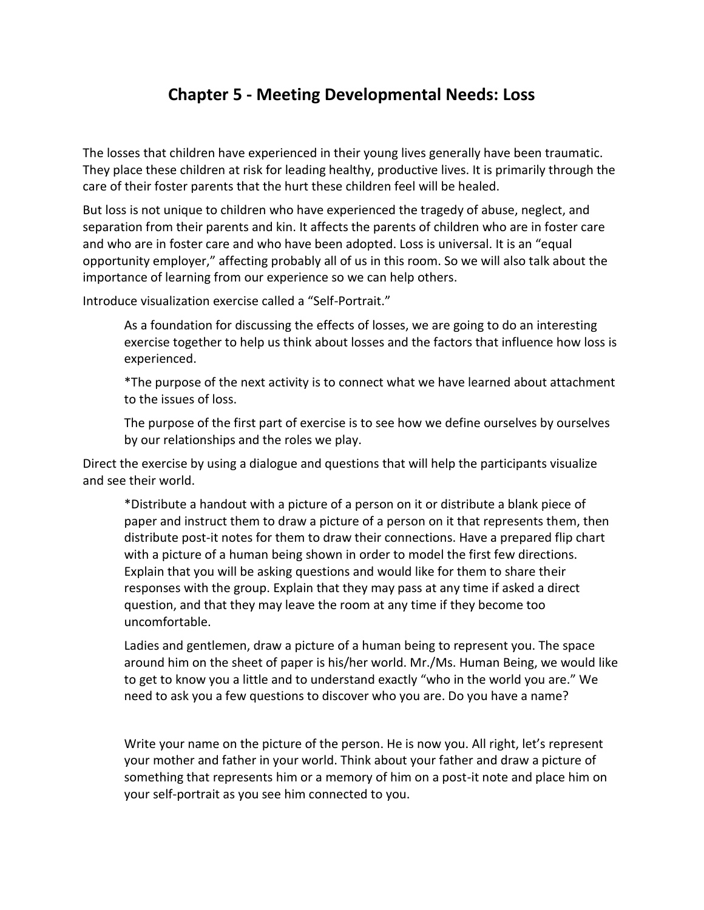## **Chapter 5 - Meeting Developmental Needs: Loss**

The losses that children have experienced in their young lives generally have been traumatic. They place these children at risk for leading healthy, productive lives. It is primarily through the care of their foster parents that the hurt these children feel will be healed.

But loss is not unique to children who have experienced the tragedy of abuse, neglect, and separation from their parents and kin. It affects the parents of children who are in foster care and who are in foster care and who have been adopted. Loss is universal. It is an "equal opportunity employer," affecting probably all of us in this room. So we will also talk about the importance of learning from our experience so we can help others.

Introduce visualization exercise called a "Self-Portrait."

As a foundation for discussing the effects of losses, we are going to do an interesting exercise together to help us think about losses and the factors that influence how loss is experienced.

\*The purpose of the next activity is to connect what we have learned about attachment to the issues of loss.

The purpose of the first part of exercise is to see how we define ourselves by ourselves by our relationships and the roles we play.

Direct the exercise by using a dialogue and questions that will help the participants visualize and see their world.

\*Distribute a handout with a picture of a person on it or distribute a blank piece of paper and instruct them to draw a picture of a person on it that represents them, then distribute post-it notes for them to draw their connections. Have a prepared flip chart with a picture of a human being shown in order to model the first few directions. Explain that you will be asking questions and would like for them to share their responses with the group. Explain that they may pass at any time if asked a direct question, and that they may leave the room at any time if they become too uncomfortable.

Ladies and gentlemen, draw a picture of a human being to represent you. The space around him on the sheet of paper is his/her world. Mr./Ms. Human Being, we would like to get to know you a little and to understand exactly "who in the world you are." We need to ask you a few questions to discover who you are. Do you have a name?

Write your name on the picture of the person. He is now you. All right, let's represent your mother and father in your world. Think about your father and draw a picture of something that represents him or a memory of him on a post-it note and place him on your self-portrait as you see him connected to you.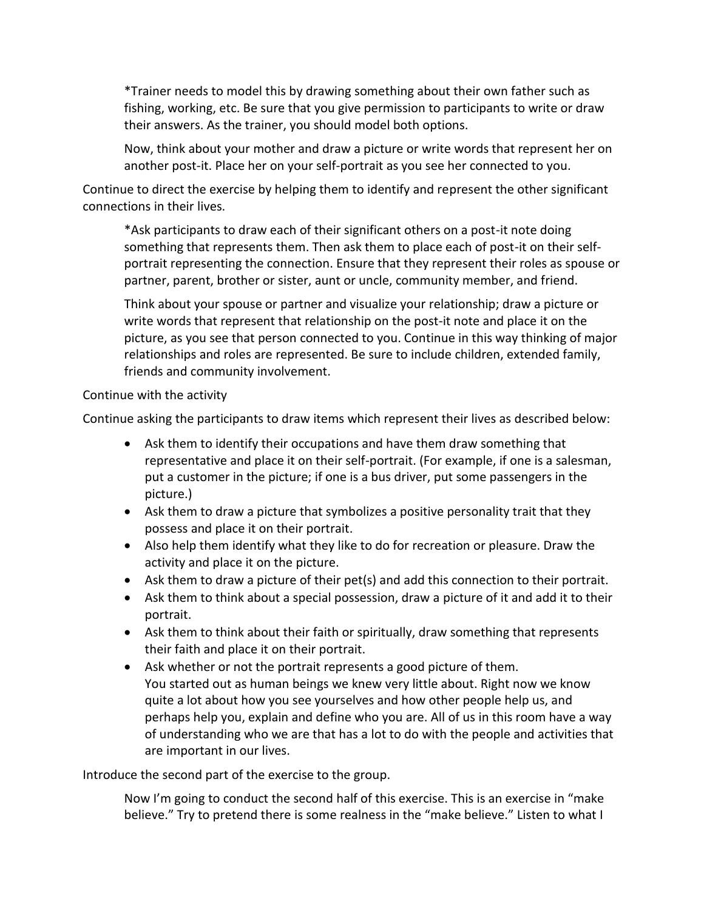\*Trainer needs to model this by drawing something about their own father such as fishing, working, etc. Be sure that you give permission to participants to write or draw their answers. As the trainer, you should model both options.

Now, think about your mother and draw a picture or write words that represent her on another post-it. Place her on your self-portrait as you see her connected to you.

Continue to direct the exercise by helping them to identify and represent the other significant connections in their lives.

\*Ask participants to draw each of their significant others on a post-it note doing something that represents them. Then ask them to place each of post-it on their selfportrait representing the connection. Ensure that they represent their roles as spouse or partner, parent, brother or sister, aunt or uncle, community member, and friend.

Think about your spouse or partner and visualize your relationship; draw a picture or write words that represent that relationship on the post-it note and place it on the picture, as you see that person connected to you. Continue in this way thinking of major relationships and roles are represented. Be sure to include children, extended family, friends and community involvement.

## Continue with the activity

Continue asking the participants to draw items which represent their lives as described below:

- Ask them to identify their occupations and have them draw something that representative and place it on their self-portrait. (For example, if one is a salesman, put a customer in the picture; if one is a bus driver, put some passengers in the picture.)
- Ask them to draw a picture that symbolizes a positive personality trait that they possess and place it on their portrait.
- Also help them identify what they like to do for recreation or pleasure. Draw the activity and place it on the picture.
- Ask them to draw a picture of their pet(s) and add this connection to their portrait.
- Ask them to think about a special possession, draw a picture of it and add it to their portrait.
- Ask them to think about their faith or spiritually, draw something that represents their faith and place it on their portrait.
- Ask whether or not the portrait represents a good picture of them. You started out as human beings we knew very little about. Right now we know quite a lot about how you see yourselves and how other people help us, and perhaps help you, explain and define who you are. All of us in this room have a way of understanding who we are that has a lot to do with the people and activities that are important in our lives.

Introduce the second part of the exercise to the group.

Now I'm going to conduct the second half of this exercise. This is an exercise in "make believe." Try to pretend there is some realness in the "make believe." Listen to what I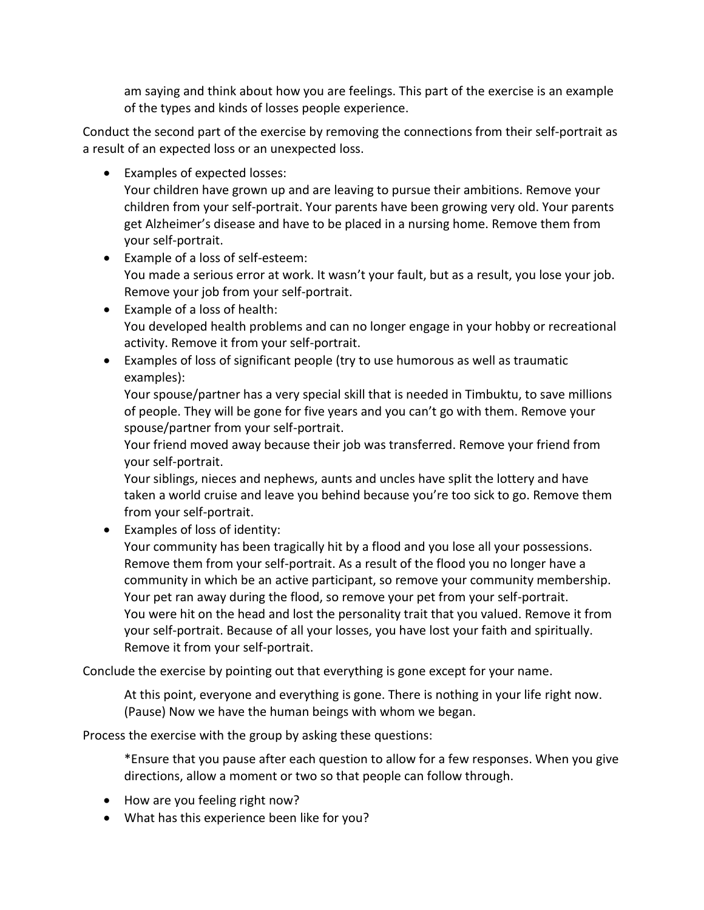am saying and think about how you are feelings. This part of the exercise is an example of the types and kinds of losses people experience.

Conduct the second part of the exercise by removing the connections from their self-portrait as a result of an expected loss or an unexpected loss.

• Examples of expected losses:

Your children have grown up and are leaving to pursue their ambitions. Remove your children from your self-portrait. Your parents have been growing very old. Your parents get Alzheimer's disease and have to be placed in a nursing home. Remove them from your self-portrait.

- Example of a loss of self-esteem: You made a serious error at work. It wasn't your fault, but as a result, you lose your job. Remove your job from your self-portrait.
- Example of a loss of health: You developed health problems and can no longer engage in your hobby or recreational activity. Remove it from your self-portrait.
- Examples of loss of significant people (try to use humorous as well as traumatic examples):

Your spouse/partner has a very special skill that is needed in Timbuktu, to save millions of people. They will be gone for five years and you can't go with them. Remove your spouse/partner from your self-portrait.

Your friend moved away because their job was transferred. Remove your friend from your self-portrait.

Your siblings, nieces and nephews, aunts and uncles have split the lottery and have taken a world cruise and leave you behind because you're too sick to go. Remove them from your self-portrait.

Examples of loss of identity:

Your community has been tragically hit by a flood and you lose all your possessions. Remove them from your self-portrait. As a result of the flood you no longer have a community in which be an active participant, so remove your community membership. Your pet ran away during the flood, so remove your pet from your self-portrait. You were hit on the head and lost the personality trait that you valued. Remove it from your self-portrait. Because of all your losses, you have lost your faith and spiritually. Remove it from your self-portrait.

Conclude the exercise by pointing out that everything is gone except for your name.

At this point, everyone and everything is gone. There is nothing in your life right now. (Pause) Now we have the human beings with whom we began.

Process the exercise with the group by asking these questions:

\*Ensure that you pause after each question to allow for a few responses. When you give directions, allow a moment or two so that people can follow through.

- How are you feeling right now?
- What has this experience been like for you?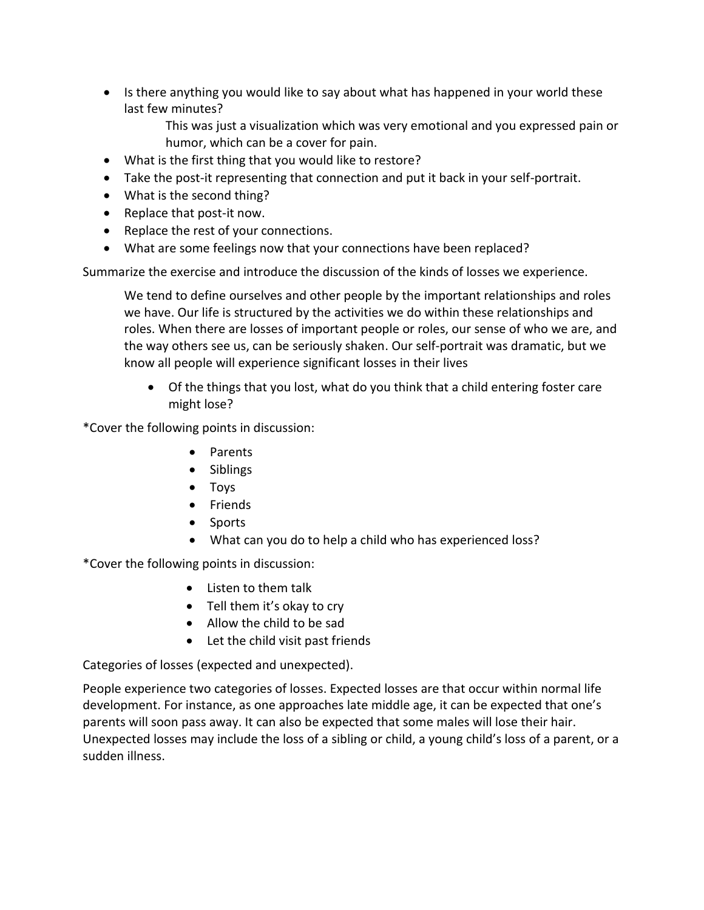- Is there anything you would like to say about what has happened in your world these last few minutes?
	- This was just a visualization which was very emotional and you expressed pain or humor, which can be a cover for pain.
- What is the first thing that you would like to restore?
- Take the post-it representing that connection and put it back in your self-portrait.
- What is the second thing?
- Replace that post-it now.
- Replace the rest of your connections.
- What are some feelings now that your connections have been replaced?

Summarize the exercise and introduce the discussion of the kinds of losses we experience.

We tend to define ourselves and other people by the important relationships and roles we have. Our life is structured by the activities we do within these relationships and roles. When there are losses of important people or roles, our sense of who we are, and the way others see us, can be seriously shaken. Our self-portrait was dramatic, but we know all people will experience significant losses in their lives

 Of the things that you lost, what do you think that a child entering foster care might lose?

\*Cover the following points in discussion:

- Parents
- Siblings
- Toys
- Friends
- Sports
- What can you do to help a child who has experienced loss?

\*Cover the following points in discussion:

- Listen to them talk
- Tell them it's okay to cry
- Allow the child to be sad
- Let the child visit past friends

Categories of losses (expected and unexpected).

People experience two categories of losses. Expected losses are that occur within normal life development. For instance, as one approaches late middle age, it can be expected that one's parents will soon pass away. It can also be expected that some males will lose their hair. Unexpected losses may include the loss of a sibling or child, a young child's loss of a parent, or a sudden illness.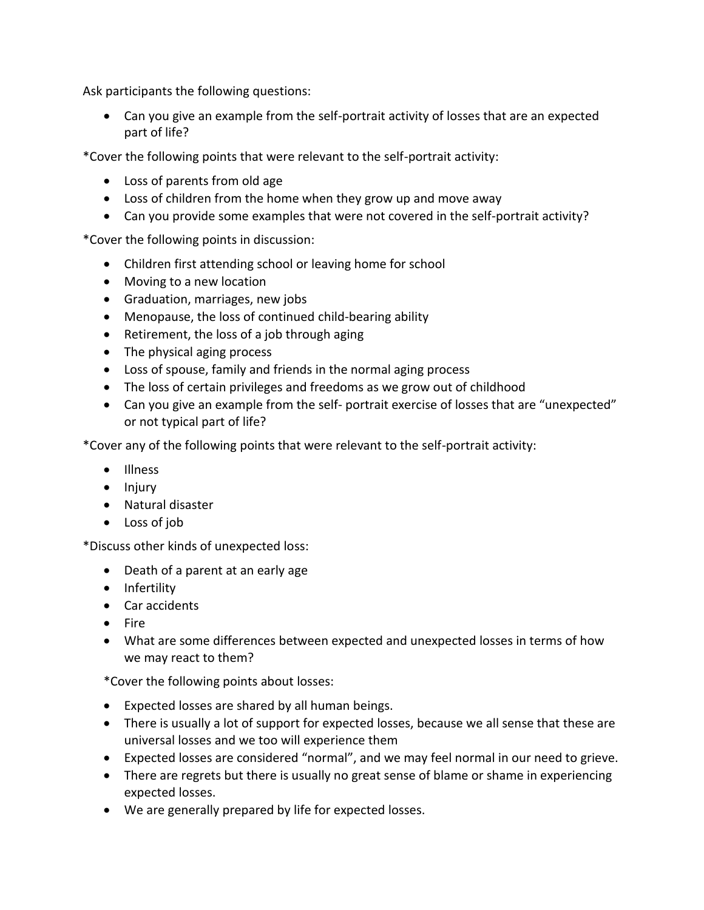Ask participants the following questions:

 Can you give an example from the self-portrait activity of losses that are an expected part of life?

\*Cover the following points that were relevant to the self-portrait activity:

- Loss of parents from old age
- Loss of children from the home when they grow up and move away
- Can you provide some examples that were not covered in the self-portrait activity?

\*Cover the following points in discussion:

- Children first attending school or leaving home for school
- Moving to a new location
- Graduation, marriages, new jobs
- Menopause, the loss of continued child-bearing ability
- Retirement, the loss of a job through aging
- The physical aging process
- Loss of spouse, family and friends in the normal aging process
- The loss of certain privileges and freedoms as we grow out of childhood
- Can you give an example from the self- portrait exercise of losses that are "unexpected" or not typical part of life?

\*Cover any of the following points that were relevant to the self-portrait activity:

- Illness
- $\bullet$  Injury
- Natural disaster
- Loss of job

\*Discuss other kinds of unexpected loss:

- Death of a parent at an early age
- Infertility
- Car accidents
- $\bullet$  Fire
- What are some differences between expected and unexpected losses in terms of how we may react to them?

\*Cover the following points about losses:

- Expected losses are shared by all human beings.
- There is usually a lot of support for expected losses, because we all sense that these are universal losses and we too will experience them
- Expected losses are considered "normal", and we may feel normal in our need to grieve.
- There are regrets but there is usually no great sense of blame or shame in experiencing expected losses.
- We are generally prepared by life for expected losses.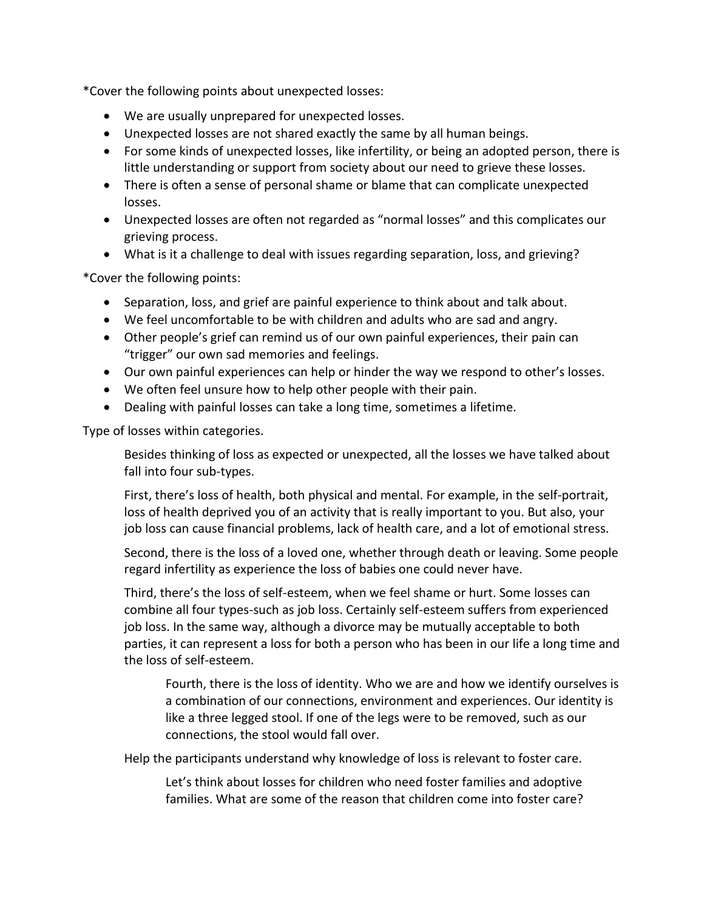\*Cover the following points about unexpected losses:

- We are usually unprepared for unexpected losses.
- Unexpected losses are not shared exactly the same by all human beings.
- For some kinds of unexpected losses, like infertility, or being an adopted person, there is little understanding or support from society about our need to grieve these losses.
- There is often a sense of personal shame or blame that can complicate unexpected losses.
- Unexpected losses are often not regarded as "normal losses" and this complicates our grieving process.
- What is it a challenge to deal with issues regarding separation, loss, and grieving?

\*Cover the following points:

- Separation, loss, and grief are painful experience to think about and talk about.
- We feel uncomfortable to be with children and adults who are sad and angry.
- Other people's grief can remind us of our own painful experiences, their pain can "trigger" our own sad memories and feelings.
- Our own painful experiences can help or hinder the way we respond to other's losses.
- We often feel unsure how to help other people with their pain.
- Dealing with painful losses can take a long time, sometimes a lifetime.

Type of losses within categories.

Besides thinking of loss as expected or unexpected, all the losses we have talked about fall into four sub-types.

First, there's loss of health, both physical and mental. For example, in the self-portrait, loss of health deprived you of an activity that is really important to you. But also, your job loss can cause financial problems, lack of health care, and a lot of emotional stress.

Second, there is the loss of a loved one, whether through death or leaving. Some people regard infertility as experience the loss of babies one could never have.

Third, there's the loss of self-esteem, when we feel shame or hurt. Some losses can combine all four types-such as job loss. Certainly self-esteem suffers from experienced job loss. In the same way, although a divorce may be mutually acceptable to both parties, it can represent a loss for both a person who has been in our life a long time and the loss of self-esteem.

Fourth, there is the loss of identity. Who we are and how we identify ourselves is a combination of our connections, environment and experiences. Our identity is like a three legged stool. If one of the legs were to be removed, such as our connections, the stool would fall over.

Help the participants understand why knowledge of loss is relevant to foster care.

Let's think about losses for children who need foster families and adoptive families. What are some of the reason that children come into foster care?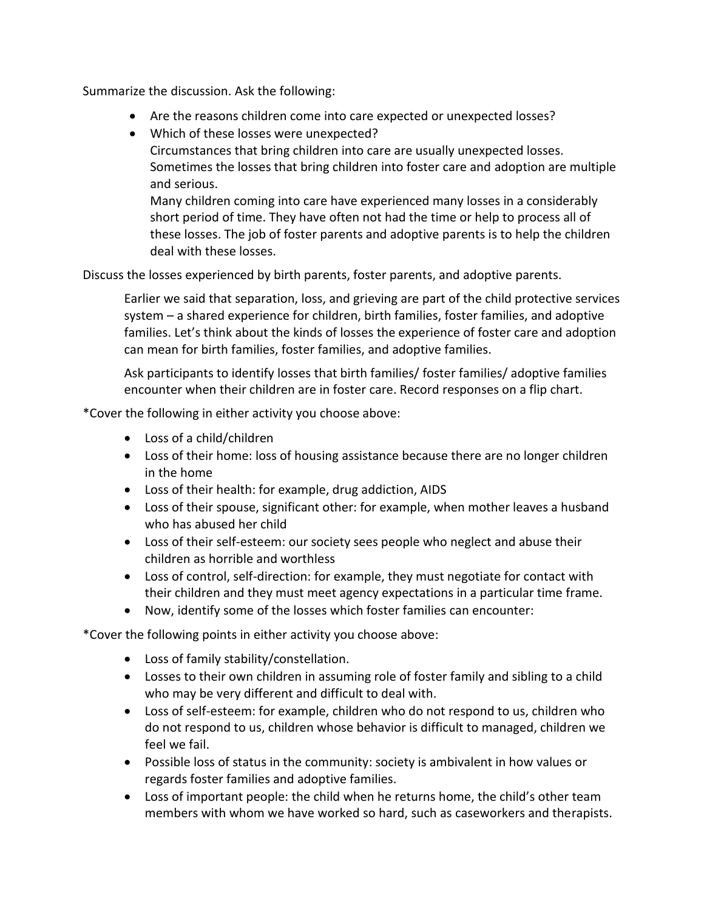Summarize the discussion. Ask the following:

- Are the reasons children come into care expected or unexpected losses?
- Which of these losses were unexpected?

Circumstances that bring children into care are usually unexpected losses. Sometimes the losses that bring children into foster care and adoption are multiple and serious.

Many children coming into care have experienced many losses in a considerably short period of time. They have often not had the time or help to process all of these losses. The job of foster parents and adoptive parents is to help the children deal with these losses.

Discuss the losses experienced by birth parents, foster parents, and adoptive parents.

Earlier we said that separation, loss, and grieving are part of the child protective services system – a shared experience for children, birth families, foster families, and adoptive families. Let's think about the kinds of losses the experience of foster care and adoption can mean for birth families, foster families, and adoptive families.

Ask participants to identify losses that birth families/ foster families/ adoptive families encounter when their children are in foster care. Record responses on a flip chart.

\*Cover the following in either activity you choose above:

- Loss of a child/children
- Loss of their home: loss of housing assistance because there are no longer children in the home
- Loss of their health: for example, drug addiction, AIDS
- Loss of their spouse, significant other: for example, when mother leaves a husband who has abused her child
- Loss of their self-esteem: our society sees people who neglect and abuse their children as horrible and worthless
- Loss of control, self-direction: for example, they must negotiate for contact with their children and they must meet agency expectations in a particular time frame.
- Now, identify some of the losses which foster families can encounter:

\*Cover the following points in either activity you choose above:

- Loss of family stability/constellation.
- Losses to their own children in assuming role of foster family and sibling to a child who may be very different and difficult to deal with.
- Loss of self-esteem: for example, children who do not respond to us, children who do not respond to us, children whose behavior is difficult to managed, children we feel we fail.
- Possible loss of status in the community: society is ambivalent in how values or regards foster families and adoptive families.
- Loss of important people: the child when he returns home, the child's other team members with whom we have worked so hard, such as caseworkers and therapists.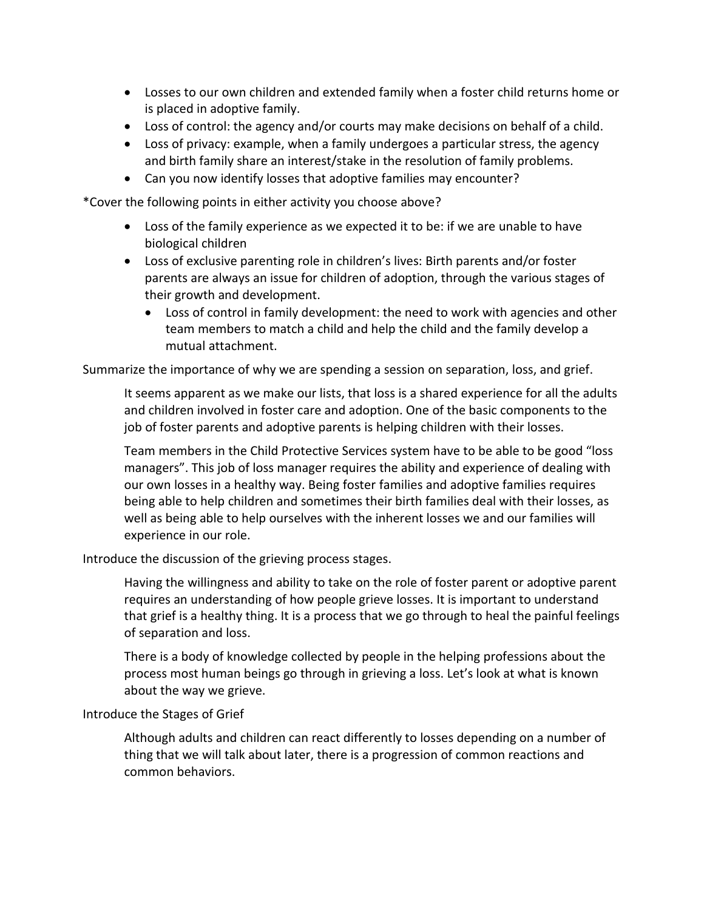- Losses to our own children and extended family when a foster child returns home or is placed in adoptive family.
- Loss of control: the agency and/or courts may make decisions on behalf of a child.
- Loss of privacy: example, when a family undergoes a particular stress, the agency and birth family share an interest/stake in the resolution of family problems.
- Can you now identify losses that adoptive families may encounter?

\*Cover the following points in either activity you choose above?

- Loss of the family experience as we expected it to be: if we are unable to have biological children
- Loss of exclusive parenting role in children's lives: Birth parents and/or foster parents are always an issue for children of adoption, through the various stages of their growth and development.
	- Loss of control in family development: the need to work with agencies and other team members to match a child and help the child and the family develop a mutual attachment.

Summarize the importance of why we are spending a session on separation, loss, and grief.

It seems apparent as we make our lists, that loss is a shared experience for all the adults and children involved in foster care and adoption. One of the basic components to the job of foster parents and adoptive parents is helping children with their losses.

Team members in the Child Protective Services system have to be able to be good "loss managers". This job of loss manager requires the ability and experience of dealing with our own losses in a healthy way. Being foster families and adoptive families requires being able to help children and sometimes their birth families deal with their losses, as well as being able to help ourselves with the inherent losses we and our families will experience in our role.

Introduce the discussion of the grieving process stages.

Having the willingness and ability to take on the role of foster parent or adoptive parent requires an understanding of how people grieve losses. It is important to understand that grief is a healthy thing. It is a process that we go through to heal the painful feelings of separation and loss.

There is a body of knowledge collected by people in the helping professions about the process most human beings go through in grieving a loss. Let's look at what is known about the way we grieve.

Introduce the Stages of Grief

Although adults and children can react differently to losses depending on a number of thing that we will talk about later, there is a progression of common reactions and common behaviors.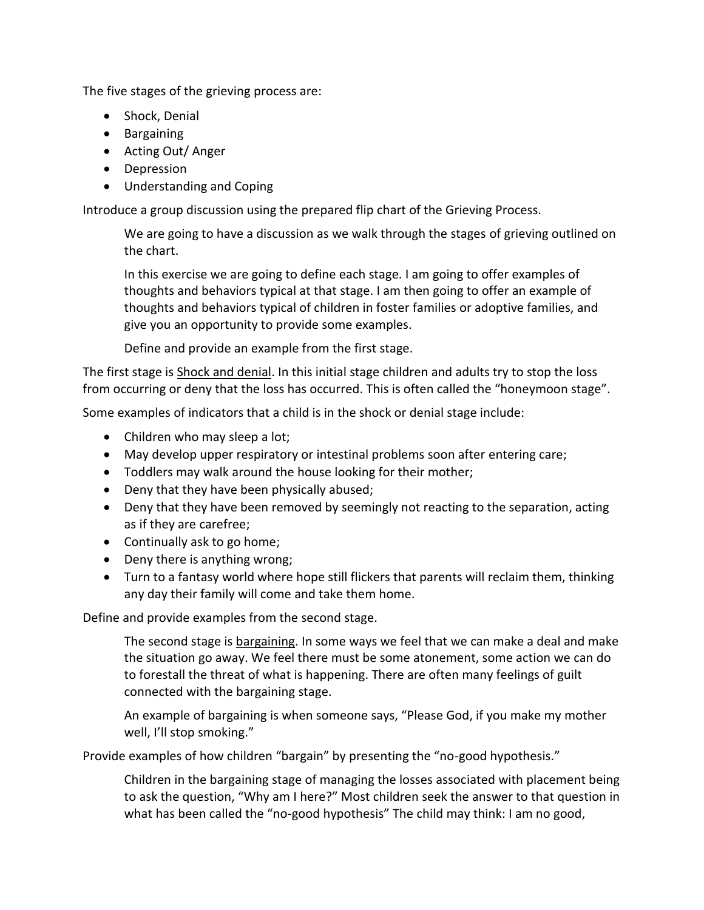The five stages of the grieving process are:

- Shock, Denial
- **•** Bargaining
- Acting Out/Anger
- Depression
- Understanding and Coping

Introduce a group discussion using the prepared flip chart of the Grieving Process.

We are going to have a discussion as we walk through the stages of grieving outlined on the chart.

In this exercise we are going to define each stage. I am going to offer examples of thoughts and behaviors typical at that stage. I am then going to offer an example of thoughts and behaviors typical of children in foster families or adoptive families, and give you an opportunity to provide some examples.

Define and provide an example from the first stage.

The first stage is Shock and denial. In this initial stage children and adults try to stop the loss from occurring or deny that the loss has occurred. This is often called the "honeymoon stage".

Some examples of indicators that a child is in the shock or denial stage include:

- Children who may sleep a lot;
- May develop upper respiratory or intestinal problems soon after entering care;
- Toddlers may walk around the house looking for their mother;
- Deny that they have been physically abused;
- Deny that they have been removed by seemingly not reacting to the separation, acting as if they are carefree;
- Continually ask to go home;
- Deny there is anything wrong;
- Turn to a fantasy world where hope still flickers that parents will reclaim them, thinking any day their family will come and take them home.

Define and provide examples from the second stage.

The second stage is bargaining. In some ways we feel that we can make a deal and make the situation go away. We feel there must be some atonement, some action we can do to forestall the threat of what is happening. There are often many feelings of guilt connected with the bargaining stage.

An example of bargaining is when someone says, "Please God, if you make my mother well, I'll stop smoking."

Provide examples of how children "bargain" by presenting the "no-good hypothesis."

Children in the bargaining stage of managing the losses associated with placement being to ask the question, "Why am I here?" Most children seek the answer to that question in what has been called the "no-good hypothesis" The child may think: I am no good,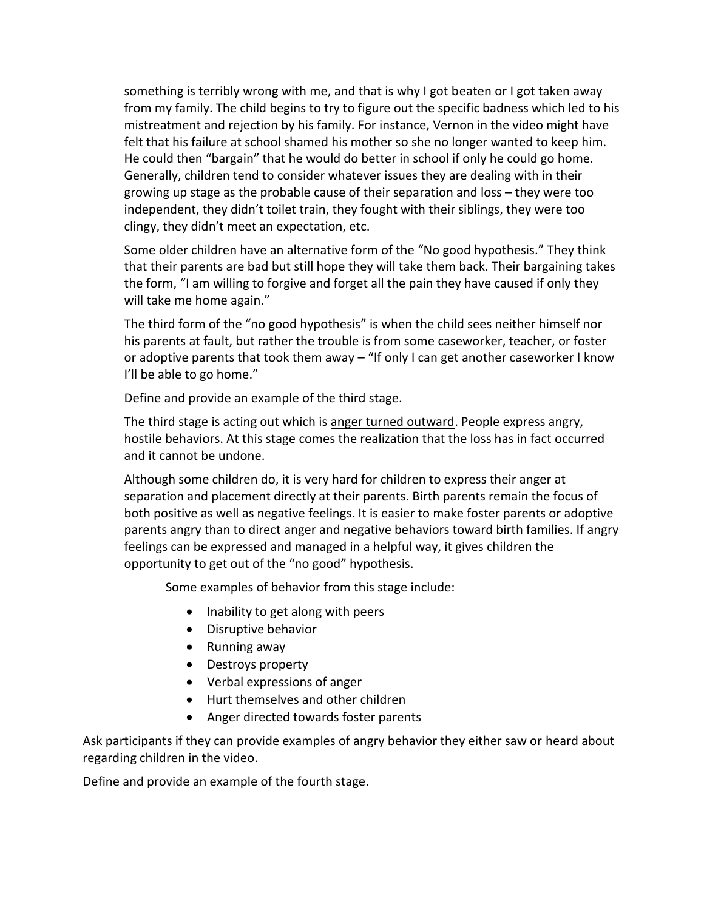something is terribly wrong with me, and that is why I got beaten or I got taken away from my family. The child begins to try to figure out the specific badness which led to his mistreatment and rejection by his family. For instance, Vernon in the video might have felt that his failure at school shamed his mother so she no longer wanted to keep him. He could then "bargain" that he would do better in school if only he could go home. Generally, children tend to consider whatever issues they are dealing with in their growing up stage as the probable cause of their separation and loss – they were too independent, they didn't toilet train, they fought with their siblings, they were too clingy, they didn't meet an expectation, etc.

Some older children have an alternative form of the "No good hypothesis." They think that their parents are bad but still hope they will take them back. Their bargaining takes the form, "I am willing to forgive and forget all the pain they have caused if only they will take me home again."

The third form of the "no good hypothesis" is when the child sees neither himself nor his parents at fault, but rather the trouble is from some caseworker, teacher, or foster or adoptive parents that took them away – "If only I can get another caseworker I know I'll be able to go home."

Define and provide an example of the third stage.

The third stage is acting out which is anger turned outward. People express angry, hostile behaviors. At this stage comes the realization that the loss has in fact occurred and it cannot be undone.

Although some children do, it is very hard for children to express their anger at separation and placement directly at their parents. Birth parents remain the focus of both positive as well as negative feelings. It is easier to make foster parents or adoptive parents angry than to direct anger and negative behaviors toward birth families. If angry feelings can be expressed and managed in a helpful way, it gives children the opportunity to get out of the "no good" hypothesis.

Some examples of behavior from this stage include:

- Inability to get along with peers
- Disruptive behavior
- Running away
- Destroys property
- Verbal expressions of anger
- Hurt themselves and other children
- Anger directed towards foster parents

Ask participants if they can provide examples of angry behavior they either saw or heard about regarding children in the video.

Define and provide an example of the fourth stage.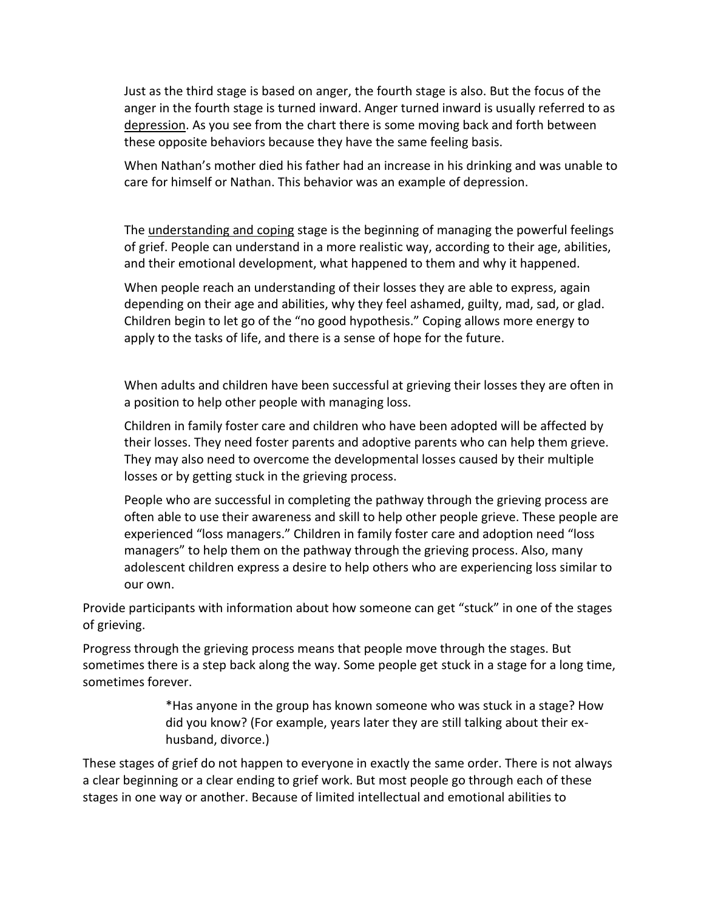Just as the third stage is based on anger, the fourth stage is also. But the focus of the anger in the fourth stage is turned inward. Anger turned inward is usually referred to as depression. As you see from the chart there is some moving back and forth between these opposite behaviors because they have the same feeling basis.

When Nathan's mother died his father had an increase in his drinking and was unable to care for himself or Nathan. This behavior was an example of depression.

The understanding and coping stage is the beginning of managing the powerful feelings of grief. People can understand in a more realistic way, according to their age, abilities, and their emotional development, what happened to them and why it happened.

When people reach an understanding of their losses they are able to express, again depending on their age and abilities, why they feel ashamed, guilty, mad, sad, or glad. Children begin to let go of the "no good hypothesis." Coping allows more energy to apply to the tasks of life, and there is a sense of hope for the future.

When adults and children have been successful at grieving their losses they are often in a position to help other people with managing loss.

Children in family foster care and children who have been adopted will be affected by their losses. They need foster parents and adoptive parents who can help them grieve. They may also need to overcome the developmental losses caused by their multiple losses or by getting stuck in the grieving process.

People who are successful in completing the pathway through the grieving process are often able to use their awareness and skill to help other people grieve. These people are experienced "loss managers." Children in family foster care and adoption need "loss managers" to help them on the pathway through the grieving process. Also, many adolescent children express a desire to help others who are experiencing loss similar to our own.

Provide participants with information about how someone can get "stuck" in one of the stages of grieving.

Progress through the grieving process means that people move through the stages. But sometimes there is a step back along the way. Some people get stuck in a stage for a long time, sometimes forever.

> \*Has anyone in the group has known someone who was stuck in a stage? How did you know? (For example, years later they are still talking about their exhusband, divorce.)

These stages of grief do not happen to everyone in exactly the same order. There is not always a clear beginning or a clear ending to grief work. But most people go through each of these stages in one way or another. Because of limited intellectual and emotional abilities to